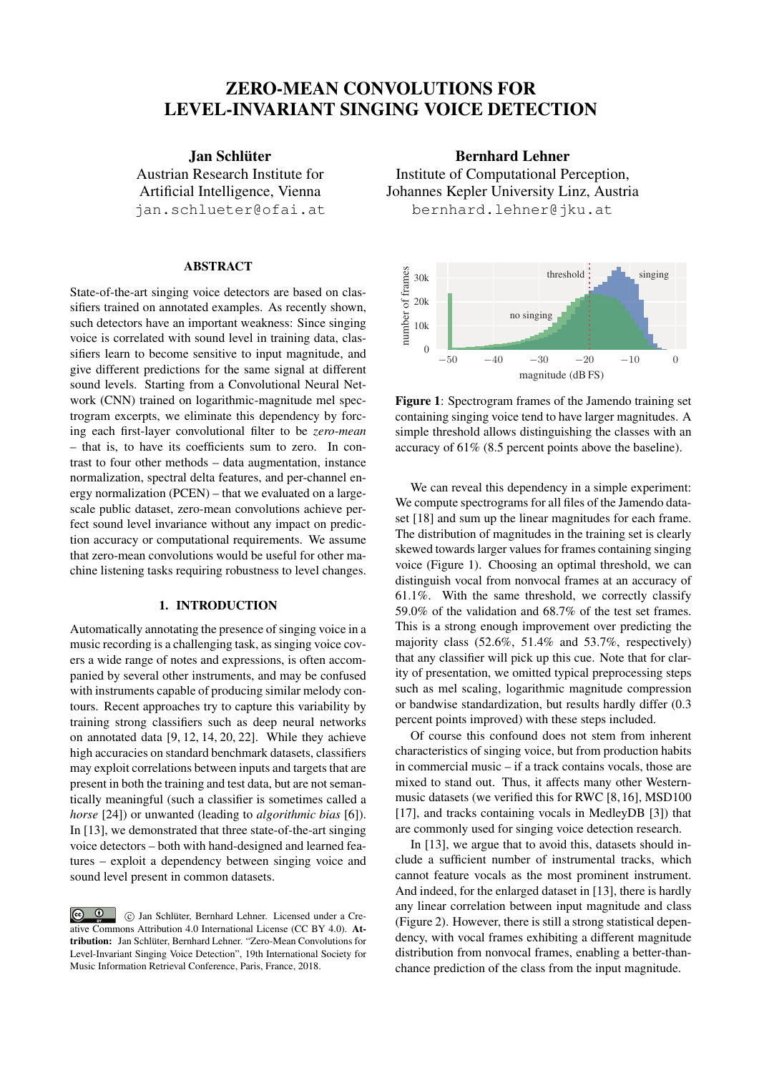# ZERO-MEAN CONVOLUTIONS FOR LEVEL-INVARIANT SINGING VOICE DETECTION

Jan Schlüter [Austrian Research Institute for](http://ofai.at) [Artificial Intelligence, Vienna](http://ofai.at) [jan.schlueter@ofai.at](mailto:jan.schlueter@ofai.at)

# ABSTRACT

State-of-the-art singing voice detectors are based on classifiers trained on annotated examples. As recently shown, such detectors have an important weakness: Since singing voice is correlated with sound level in training data, classifiers learn to become sensitive to input magnitude, and give different predictions for the same signal at different sound levels. Starting from a Convolutional Neural Network (CNN) trained on logarithmic-magnitude mel spectrogram excerpts, we eliminate this dependency by forcing each first-layer convolutional filter to be *zero-mean* – that is, to have its coefficients sum to zero. In contrast to four other methods – data augmentation, instance normalization, spectral delta features, and per-channel energy normalization (PCEN) – that we evaluated on a largescale public dataset, zero-mean convolutions achieve perfect sound level invariance without any impact on prediction accuracy or computational requirements. We assume that zero-mean convolutions would be useful for other machine listening tasks requiring robustness to level changes.

## 1. INTRODUCTION

Automatically annotating the presence of singing voice in a music recording is a challenging task, as singing voice covers a wide range of notes and expressions, is often accompanied by several other instruments, and may be confused with instruments capable of producing similar melody contours. Recent approaches try to capture this variability by training strong classifiers such as deep neural networks on annotated data [\[9,](#page-5-0) [12,](#page-5-1) [14,](#page-5-2) [20,](#page-5-3) [22\]](#page-5-4). While they achieve high accuracies on standard benchmark datasets, classifiers may exploit correlations between inputs and targets that are present in both the training and test data, but are not semantically meaningful (such a classifier is sometimes called a *horse* [\[24\]](#page-5-5)) or unwanted (leading to *algorithmic bias* [\[6\]](#page-5-6)). In [\[13\]](#page-5-7), we demonstrated that three state-of-the-art singing voice detectors – both with hand-designed and learned features – exploit a dependency between singing voice and sound level present in common datasets.

Bernhard Lehner [Institute of Computational Perception,](http://www.cp.jku.at) [Johannes Kepler University Linz, Austria](http://www.cp.jku.at) [bernhard.lehner@jku.at](mailto:bernhard.lehner@jku.at)

<span id="page-0-0"></span>

Figure 1: Spectrogram frames of the Jamendo training set containing singing voice tend to have larger magnitudes. A simple threshold allows distinguishing the classes with an accuracy of 61% (8.5 percent points above the baseline).

We can reveal this dependency in a simple experiment: We compute spectrograms for all files of the Jamendo dataset [\[18\]](#page-5-8) and sum up the linear magnitudes for each frame. The distribution of magnitudes in the training set is clearly skewed towards larger values for frames containing singing voice (Figure [1\)](#page-0-0). Choosing an optimal threshold, we can distinguish vocal from nonvocal frames at an accuracy of 61.1%. With the same threshold, we correctly classify 59.0% of the validation and 68.7% of the test set frames. This is a strong enough improvement over predicting the majority class (52.6%, 51.4% and 53.7%, respectively) that any classifier will pick up this cue. Note that for clarity of presentation, we omitted typical preprocessing steps such as mel scaling, logarithmic magnitude compression or bandwise standardization, but results hardly differ (0.3 percent points improved) with these steps included.

Of course this confound does not stem from inherent characteristics of singing voice, but from production habits in commercial music – if a track contains vocals, those are mixed to stand out. Thus, it affects many other Westernmusic datasets (we verified this for RWC [\[8,](#page-5-9)[16\]](#page-5-10), MSD100 [\[17\]](#page-5-11), and tracks containing vocals in MedleyDB [\[3\]](#page-4-0)) that are commonly used for singing voice detection research.

In [\[13\]](#page-5-7), we argue that to avoid this, datasets should include a sufficient number of instrumental tracks, which cannot feature vocals as the most prominent instrument. And indeed, for the enlarged dataset in [\[13\]](#page-5-7), there is hardly any linear correlation between input magnitude and class (Figure [2\)](#page-1-0). However, there is still a strong statistical dependency, with vocal frames exhibiting a different magnitude distribution from nonvocal frames, enabling a better-thanchance prediction of the class from the input magnitude.

 $\circ$   $\circ$  c Jan Schlüter, Bernhard Lehner. Licensed under a Creative Commons Attribution 4.0 International License (CC BY 4.0). Attribution: Jan Schlüter, Bernhard Lehner. "Zero-Mean Convolutions for Level-Invariant Singing Voice Detection", 19th International Society for Music Information Retrieval Conference, Paris, France, 2018.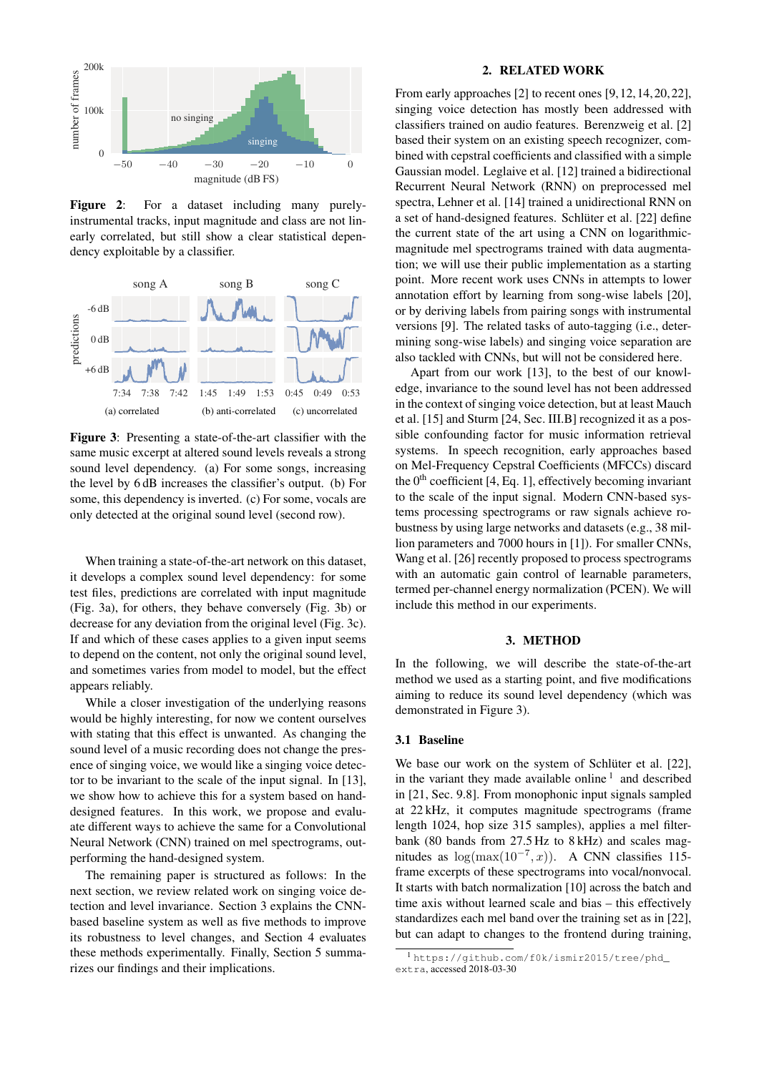<span id="page-1-0"></span>

Figure 2: For a dataset including many purelyinstrumental tracks, input magnitude and class are not linearly correlated, but still show a clear statistical dependency exploitable by a classifier.

<span id="page-1-5"></span><span id="page-1-1"></span>

<span id="page-1-2"></span>Figure 3: Presenting a state-of-the-art classifier with the same music excerpt at altered sound levels reveals a strong sound level dependency. [\(a\)](#page-1-1) For some songs, increasing the level by 6 dB increases the classifier's output. [\(b\)](#page-1-2) For some, this dependency is inverted. [\(c\)](#page-1-3) For some, vocals are only detected at the original sound level (second row).

When training a state-of-the-art network on this dataset, it develops a complex sound level dependency: for some test files, predictions are correlated with input magnitude (Fig. [3a\)](#page-1-1), for others, they behave conversely (Fig. [3b\)](#page-1-2) or decrease for any deviation from the original level (Fig. [3c\)](#page-1-3). If and which of these cases applies to a given input seems to depend on the content, not only the original sound level, and sometimes varies from model to model, but the effect appears reliably.

While a closer investigation of the underlying reasons would be highly interesting, for now we content ourselves with stating that this effect is unwanted. As changing the sound level of a music recording does not change the presence of singing voice, we would like a singing voice detector to be invariant to the scale of the input signal. In [\[13\]](#page-5-7), we show how to achieve this for a system based on handdesigned features. In this work, we propose and evaluate different ways to achieve the same for a Convolutional Neural Network (CNN) trained on mel spectrograms, outperforming the hand-designed system.

The remaining paper is structured as follows: In the next section, we review related work on singing voice detection and level invariance. Section [3](#page-1-4) explains the CNNbased baseline system as well as five methods to improve its robustness to level changes, and Section [4](#page-3-0) evaluates these methods experimentally. Finally, Section [5](#page-4-1) summarizes our findings and their implications.

#### 2. RELATED WORK

From early approaches [\[2\]](#page-4-2) to recent ones [\[9,](#page-5-0)[12,](#page-5-1)[14,](#page-5-2)[20,](#page-5-3)[22\]](#page-5-4), singing voice detection has mostly been addressed with classifiers trained on audio features. Berenzweig et al. [\[2\]](#page-4-2) based their system on an existing speech recognizer, combined with cepstral coefficients and classified with a simple Gaussian model. Leglaive et al. [\[12\]](#page-5-1) trained a bidirectional Recurrent Neural Network (RNN) on preprocessed mel spectra, Lehner et al. [\[14\]](#page-5-2) trained a unidirectional RNN on a set of hand-designed features. Schlüter et al. [\[22\]](#page-5-4) define the current state of the art using a CNN on logarithmicmagnitude mel spectrograms trained with data augmentation; we will use their public implementation as a starting point. More recent work uses CNNs in attempts to lower annotation effort by learning from song-wise labels [\[20\]](#page-5-3), or by deriving labels from pairing songs with instrumental versions [\[9\]](#page-5-0). The related tasks of auto-tagging (i.e., determining song-wise labels) and singing voice separation are also tackled with CNNs, but will not be considered here.

<span id="page-1-3"></span>Apart from our work [\[13\]](#page-5-7), to the best of our knowledge, invariance to the sound level has not been addressed in the context of singing voice detection, but at least Mauch et al. [\[15\]](#page-5-12) and Sturm [\[24,](#page-5-5) Sec. III.B] recognized it as a possible confounding factor for music information retrieval systems. In speech recognition, early approaches based on Mel-Frequency Cepstral Coefficients (MFCCs) discard the  $0<sup>th</sup>$  coefficient [\[4,](#page-4-3) Eq. 1], effectively becoming invariant to the scale of the input signal. Modern CNN-based systems processing spectrograms or raw signals achieve robustness by using large networks and datasets (e.g., 38 million parameters and 7000 hours in [\[1\]](#page-4-4)). For smaller CNNs, Wang et al. [\[26\]](#page-5-13) recently proposed to process spectrograms with an automatic gain control of learnable parameters, termed per-channel energy normalization (PCEN). We will include this method in our experiments.

## 3. METHOD

<span id="page-1-4"></span>In the following, we will describe the state-of-the-art method we used as a starting point, and five modifications aiming to reduce its sound level dependency (which was demonstrated in Figure [3\)](#page-1-5).

#### 3.1 Baseline

We base our work on the system of Schlüter et al. [\[22\]](#page-5-4), in the variant they made available online<sup>[1](#page-1-6)</sup> and described in [\[21,](#page-5-14) Sec. 9.8]. From monophonic input signals sampled at 22 kHz, it computes magnitude spectrograms (frame length 1024, hop size 315 samples), applies a mel filterbank (80 bands from 27.5 Hz to 8 kHz) and scales magnitudes as  $\log(\max(10^{-7}, x))$ . A CNN classifies 115frame excerpts of these spectrograms into vocal/nonvocal. It starts with batch normalization [\[10\]](#page-5-15) across the batch and time axis without learned scale and bias – this effectively standardizes each mel band over the training set as in [\[22\]](#page-5-4), but can adapt to changes to the frontend during training,

<span id="page-1-6"></span><sup>1</sup> [https://github.com/f0k/ismir2015/tree/phd\\_](https://github.com/f0k/ismir2015/tree/phd_extra) [extra](https://github.com/f0k/ismir2015/tree/phd_extra), accessed 2018-03-30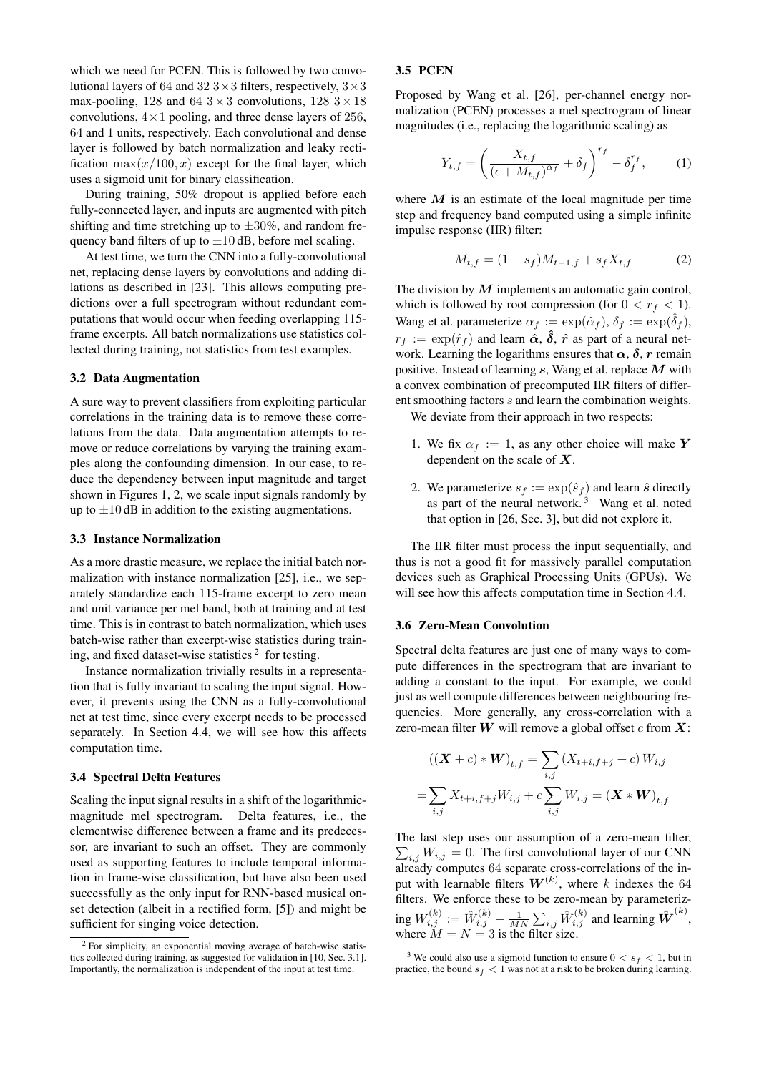which we need for PCEN. This is followed by two convolutional layers of 64 and 32  $3 \times 3$  filters, respectively,  $3 \times 3$ max-pooling, 128 and 64  $3 \times 3$  convolutions, 128  $3 \times 18$ convolutions,  $4 \times 1$  pooling, and three dense layers of 256, 64 and 1 units, respectively. Each convolutional and dense layer is followed by batch normalization and leaky rectification  $\max(x/100, x)$  except for the final layer, which uses a sigmoid unit for binary classification.

During training, 50% dropout is applied before each fully-connected layer, and inputs are augmented with pitch shifting and time stretching up to  $\pm 30\%$ , and random frequency band filters of up to  $\pm 10$  dB, before mel scaling.

At test time, we turn the CNN into a fully-convolutional net, replacing dense layers by convolutions and adding dilations as described in [\[23\]](#page-5-16). This allows computing predictions over a full spectrogram without redundant computations that would occur when feeding overlapping 115 frame excerpts. All batch normalizations use statistics collected during training, not statistics from test examples.

## 3.2 Data Augmentation

A sure way to prevent classifiers from exploiting particular correlations in the training data is to remove these correlations from the data. Data augmentation attempts to remove or reduce correlations by varying the training examples along the confounding dimension. In our case, to reduce the dependency between input magnitude and target shown in Figures [1,](#page-0-0) [2,](#page-1-0) we scale input signals randomly by up to  $\pm 10$  dB in addition to the existing augmentations.

## 3.3 Instance Normalization

As a more drastic measure, we replace the initial batch normalization with instance normalization [\[25\]](#page-5-17), i.e., we separately standardize each 115-frame excerpt to zero mean and unit variance per mel band, both at training and at test time. This is in contrast to batch normalization, which uses batch-wise rather than excerpt-wise statistics during train-ing, and fixed dataset-wise statistics<sup>[2](#page-2-0)</sup> for testing.

Instance normalization trivially results in a representation that is fully invariant to scaling the input signal. However, it prevents using the CNN as a fully-convolutional net at test time, since every excerpt needs to be processed separately. In Section [4.4,](#page-3-1) we will see how this affects computation time.

## 3.4 Spectral Delta Features

Scaling the input signal results in a shift of the logarithmicmagnitude mel spectrogram. Delta features, i.e., the elementwise difference between a frame and its predecessor, are invariant to such an offset. They are commonly used as supporting features to include temporal information in frame-wise classification, but have also been used successfully as the only input for RNN-based musical onset detection (albeit in a rectified form, [\[5\]](#page-4-5)) and might be sufficient for singing voice detection.

#### <span id="page-2-2"></span>3.5 PCEN

Proposed by Wang et al. [\[26\]](#page-5-13), per-channel energy normalization (PCEN) processes a mel spectrogram of linear magnitudes (i.e., replacing the logarithmic scaling) as

$$
Y_{t,f} = \left(\frac{X_{t,f}}{\left(\epsilon + M_{t,f}\right)^{\alpha_f}} + \delta_f\right)^{r_f} - \delta_f^{r_f},\tag{1}
$$

where  $M$  is an estimate of the local magnitude per time step and frequency band computed using a simple infinite impulse response (IIR) filter:

$$
M_{t,f} = (1 - s_f)M_{t-1,f} + s_f X_{t,f}
$$
 (2)

The division by  $M$  implements an automatic gain control, which is followed by root compression (for  $0 < r_f < 1$ ). Wang et al. parameterize  $\alpha_f := \exp(\hat{\alpha}_f)$ ,  $\delta_f := \exp(\hat{\delta}_f)$ ,  $r_f := \exp(\hat{r}_f)$  and learn  $\hat{\alpha}$ ,  $\hat{\delta}$ ,  $\hat{r}$  as part of a neural network. Learning the logarithms ensures that  $\alpha$ ,  $\delta$ , r remain positive. Instead of learning  $s$ , Wang et al. replace  $M$  with a convex combination of precomputed IIR filters of different smoothing factors s and learn the combination weights.

We deviate from their approach in two respects:

- 1. We fix  $\alpha_f := 1$ , as any other choice will make Y dependent on the scale of  $X$ .
- 2. We parameterize  $s_f := \exp(\hat{s}_f)$  and learn  $\hat{s}$  directly as part of the neural network. [3](#page-2-1) Wang et al. noted that option in [\[26,](#page-5-13) Sec. 3], but did not explore it.

The IIR filter must process the input sequentially, and thus is not a good fit for massively parallel computation devices such as Graphical Processing Units (GPUs). We will see how this affects computation time in Section [4.4.](#page-3-1)

#### 3.6 Zero-Mean Convolution

Spectral delta features are just one of many ways to compute differences in the spectrogram that are invariant to adding a constant to the input. For example, we could just as well compute differences between neighbouring frequencies. More generally, any cross-correlation with a zero-mean filter  $W$  will remove a global offset c from  $X$ :

$$
((\mathbf{X} + c) * \mathbf{W})_{t,f} = \sum_{i,j} (X_{t+i,f+j} + c) W_{i,j}
$$

$$
= \sum_{i,j} X_{t+i,f+j} W_{i,j} + c \sum_{i,j} W_{i,j} = (\mathbf{X} * \mathbf{W})_{t,f}
$$

The last step uses our assumption of a zero-mean filter,  $\sum_{i,j} W_{i,j} = 0$ . The first convolutional layer of our CNN already computes 64 separate cross-correlations of the input with learnable filters  $W^{(k)}$ , where k indexes the 64 filters. We enforce these to be zero-mean by parameterizing  $W_{i,j}^{(k)}:=\hat{W}_{i,j}^{(k)}-\frac{1}{MN}\sum_{i,j}\hat{W}_{i,j}^{(k)}$  and learning  $\hat{\bm{W}}^{(k)},$ where  $M = N = 3$  is the filter size.

<span id="page-2-0"></span><sup>2</sup> For simplicity, an exponential moving average of batch-wise statistics collected during training, as suggested for validation in [\[10,](#page-5-15) Sec. 3.1]. Importantly, the normalization is independent of the input at test time.

<span id="page-2-1"></span><sup>&</sup>lt;sup>3</sup> We could also use a sigmoid function to ensure  $0 < s_f < 1$ , but in practice, the bound  $s_f < 1$  was not at a risk to be broken during learning.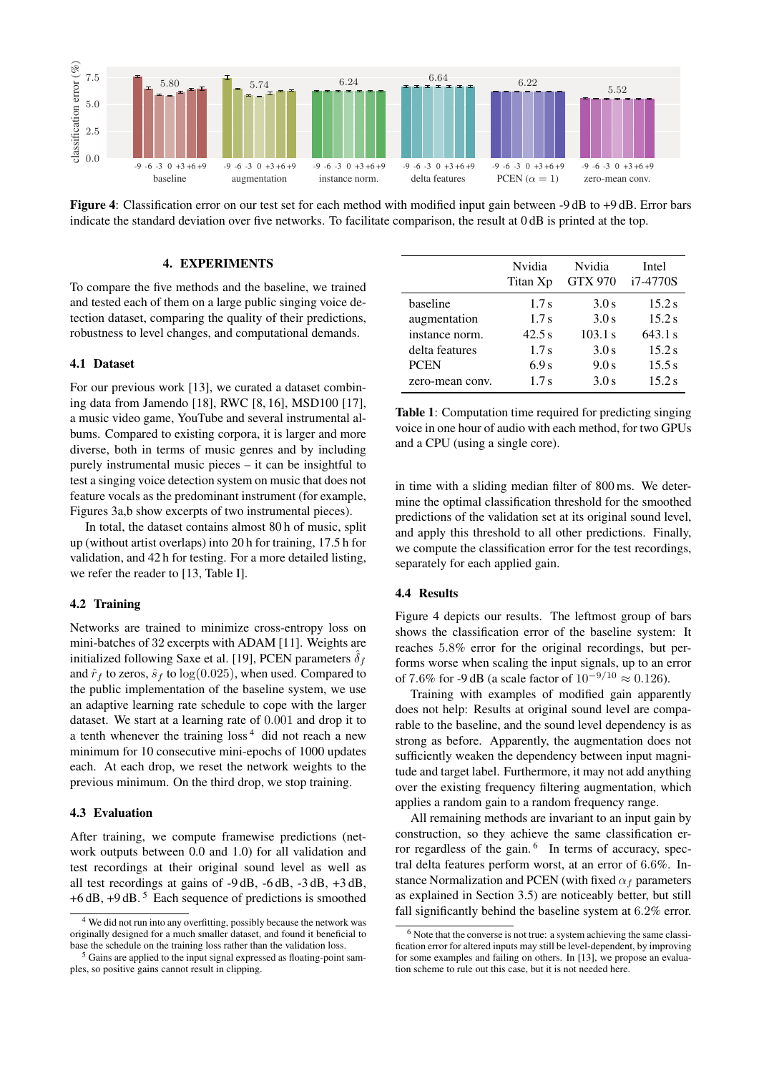<span id="page-3-4"></span>

Figure 4: Classification error on our test set for each method with modified input gain between -9 dB to +9 dB. Error bars indicate the standard deviation over five networks. To facilitate comparison, the result at 0 dB is printed at the top.

## 4. EXPERIMENTS

<span id="page-3-0"></span>To compare the five methods and the baseline, we trained and tested each of them on a large public singing voice detection dataset, comparing the quality of their predictions, robustness to level changes, and computational demands.

#### 4.1 Dataset

For our previous work [\[13\]](#page-5-7), we curated a dataset combining data from Jamendo [\[18\]](#page-5-8), RWC [\[8,](#page-5-9) [16\]](#page-5-10), MSD100 [\[17\]](#page-5-11), a music video game, YouTube and several instrumental albums. Compared to existing corpora, it is larger and more diverse, both in terms of music genres and by including purely instrumental music pieces – it can be insightful to test a singing voice detection system on music that does not feature vocals as the predominant instrument (for example, Figures [3a](#page-1-1)[,b](#page-1-2) show excerpts of two instrumental pieces).

In total, the dataset contains almost 80 h of music, split up (without artist overlaps) into 20 h for training, 17.5 h for validation, and 42 h for testing. For a more detailed listing, we refer the reader to [\[13,](#page-5-7) Table I].

## 4.2 Training

Networks are trained to minimize cross-entropy loss on mini-batches of 32 excerpts with ADAM [\[11\]](#page-5-18). Weights are initialized following Saxe et al. [\[19\]](#page-5-19), PCEN parameters  $\delta_f$ and  $\hat{r}_f$  to zeros,  $\hat{s}_f$  to  $\log(0.025)$ , when used. Compared to the public implementation of the baseline system, we use an adaptive learning rate schedule to cope with the larger dataset. We start at a learning rate of 0.001 and drop it to a tenth whenever the training  $\cos^4$  $\cos^4$  did not reach a new minimum for 10 consecutive mini-epochs of 1000 updates each. At each drop, we reset the network weights to the previous minimum. On the third drop, we stop training.

#### 4.3 Evaluation

After training, we compute framewise predictions (network outputs between 0.0 and 1.0) for all validation and test recordings at their original sound level as well as all test recordings at gains of -9 dB, -6 dB, -3 dB, +3 dB,  $+6$  dB,  $+9$  dB.<sup>[5](#page-3-3)</sup> Each sequence of predictions is smoothed

<span id="page-3-6"></span>

|                 | Nvidia<br>Titan Xp | Nvidia<br><b>GTX 970</b> | Intel<br>i7-4770S |
|-----------------|--------------------|--------------------------|-------------------|
| baseline        | 1.7s               | 3.0s                     | 15.2 s            |
| augmentation    | 1.7s               | 3.0s                     | 15.2 s            |
| instance norm.  | 42.5s              | 103.1 s                  | 643.1 s           |
| delta features  | 1.7s               | 3.0s                     | 15.2 s            |
| <b>PCEN</b>     | 6.9 <sub>s</sub>   | 9.0 s                    | 15.5 s            |
| zero-mean conv. | 1.7s               | 3.0 s                    | 15.2 s            |

Table 1: Computation time required for predicting singing voice in one hour of audio with each method, for two GPUs and a CPU (using a single core).

in time with a sliding median filter of 800 ms. We determine the optimal classification threshold for the smoothed predictions of the validation set at its original sound level, and apply this threshold to all other predictions. Finally, we compute the classification error for the test recordings, separately for each applied gain.

## <span id="page-3-1"></span>4.4 Results

Figure [4](#page-3-4) depicts our results. The leftmost group of bars shows the classification error of the baseline system: It reaches 5.8% error for the original recordings, but performs worse when scaling the input signals, up to an error of 7.6% for -9 dB (a scale factor of  $10^{-9/10}$  ≈ 0.126).

Training with examples of modified gain apparently does not help: Results at original sound level are comparable to the baseline, and the sound level dependency is as strong as before. Apparently, the augmentation does not sufficiently weaken the dependency between input magnitude and target label. Furthermore, it may not add anything over the existing frequency filtering augmentation, which applies a random gain to a random frequency range.

All remaining methods are invariant to an input gain by construction, so they achieve the same classification er-ror regardless of the gain.<sup>[6](#page-3-5)</sup> In terms of accuracy, spectral delta features perform worst, at an error of 6.6%. Instance Normalization and PCEN (with fixed  $\alpha_f$  parameters as explained in Section [3.5\)](#page-2-2) are noticeably better, but still fall significantly behind the baseline system at 6.2% error.

<span id="page-3-2"></span><sup>4</sup> We did not run into any overfitting, possibly because the network was originally designed for a much smaller dataset, and found it beneficial to base the schedule on the training loss rather than the validation loss.

<span id="page-3-3"></span><sup>5</sup> Gains are applied to the input signal expressed as floating-point samples, so positive gains cannot result in clipping.

<span id="page-3-5"></span><sup>6</sup> Note that the converse is not true: a system achieving the same classification error for altered inputs may still be level-dependent, by improving for some examples and failing on others. In [\[13\]](#page-5-7), we propose an evaluation scheme to rule out this case, but it is not needed here.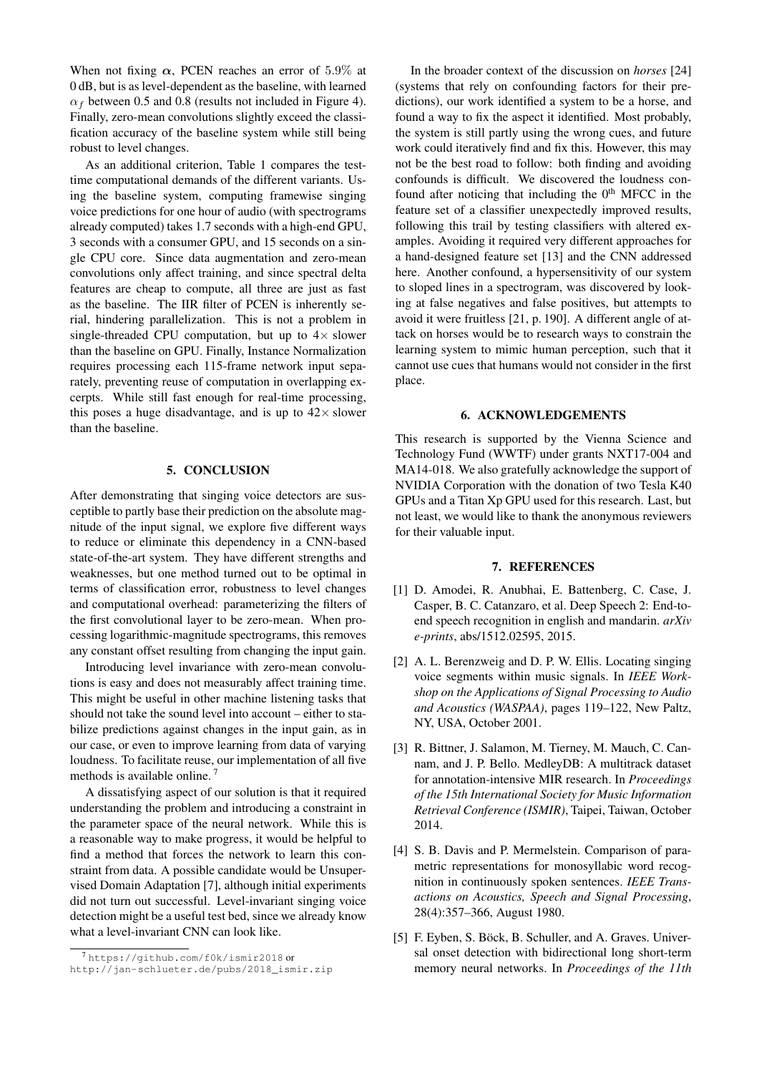When not fixing  $\alpha$ , PCEN reaches an error of 5.9% at 0 dB, but is as level-dependent as the baseline, with learned  $\alpha_f$  between 0.5 and 0.8 (results not included in Figure [4\)](#page-3-4). Finally, zero-mean convolutions slightly exceed the classification accuracy of the baseline system while still being robust to level changes.

As an additional criterion, Table [1](#page-3-6) compares the testtime computational demands of the different variants. Using the baseline system, computing framewise singing voice predictions for one hour of audio (with spectrograms already computed) takes 1.7 seconds with a high-end GPU, 3 seconds with a consumer GPU, and 15 seconds on a single CPU core. Since data augmentation and zero-mean convolutions only affect training, and since spectral delta features are cheap to compute, all three are just as fast as the baseline. The IIR filter of PCEN is inherently serial, hindering parallelization. This is not a problem in single-threaded CPU computation, but up to  $4 \times$  slower than the baseline on GPU. Finally, Instance Normalization requires processing each 115-frame network input separately, preventing reuse of computation in overlapping excerpts. While still fast enough for real-time processing, this poses a huge disadvantage, and is up to  $42 \times$  slower than the baseline.

## 5. CONCLUSION

<span id="page-4-1"></span>After demonstrating that singing voice detectors are susceptible to partly base their prediction on the absolute magnitude of the input signal, we explore five different ways to reduce or eliminate this dependency in a CNN-based state-of-the-art system. They have different strengths and weaknesses, but one method turned out to be optimal in terms of classification error, robustness to level changes and computational overhead: parameterizing the filters of the first convolutional layer to be zero-mean. When processing logarithmic-magnitude spectrograms, this removes any constant offset resulting from changing the input gain.

Introducing level invariance with zero-mean convolutions is easy and does not measurably affect training time. This might be useful in other machine listening tasks that should not take the sound level into account – either to stabilize predictions against changes in the input gain, as in our case, or even to improve learning from data of varying loudness. To facilitate reuse, our implementation of all five methods is available online.<sup>[7](#page-4-6)</sup>

A dissatisfying aspect of our solution is that it required understanding the problem and introducing a constraint in the parameter space of the neural network. While this is a reasonable way to make progress, it would be helpful to find a method that forces the network to learn this constraint from data. A possible candidate would be Unsupervised Domain Adaptation [\[7\]](#page-5-20), although initial experiments did not turn out successful. Level-invariant singing voice detection might be a useful test bed, since we already know what a level-invariant CNN can look like.

In the broader context of the discussion on *horses* [\[24\]](#page-5-5) (systems that rely on confounding factors for their predictions), our work identified a system to be a horse, and found a way to fix the aspect it identified. Most probably, the system is still partly using the wrong cues, and future work could iteratively find and fix this. However, this may not be the best road to follow: both finding and avoiding confounds is difficult. We discovered the loudness confound after noticing that including the  $0<sup>th</sup>$  MFCC in the feature set of a classifier unexpectedly improved results, following this trail by testing classifiers with altered examples. Avoiding it required very different approaches for a hand-designed feature set [\[13\]](#page-5-7) and the CNN addressed here. Another confound, a hypersensitivity of our system to sloped lines in a spectrogram, was discovered by looking at false negatives and false positives, but attempts to avoid it were fruitless [\[21,](#page-5-14) p. 190]. A different angle of attack on horses would be to research ways to constrain the learning system to mimic human perception, such that it cannot use cues that humans would not consider in the first place.

## 6. ACKNOWLEDGEMENTS

This research is supported by the Vienna Science and Technology Fund (WWTF) under grants NXT17-004 and MA14-018. We also gratefully acknowledge the support of NVIDIA Corporation with the donation of two Tesla K40 GPUs and a Titan Xp GPU used for this research. Last, but not least, we would like to thank the anonymous reviewers for their valuable input.

#### 7. REFERENCES

- <span id="page-4-4"></span>[1] D. Amodei, R. Anubhai, E. Battenberg, C. Case, J. Casper, B. C. Catanzaro, et al. Deep Speech 2: End-toend speech recognition in english and mandarin. *arXiv e-prints*, abs/1512.02595, 2015.
- <span id="page-4-2"></span>[2] A. L. Berenzweig and D. P. W. Ellis. Locating singing voice segments within music signals. In *IEEE Workshop on the Applications of Signal Processing to Audio and Acoustics (WASPAA)*, pages 119–122, New Paltz, NY, USA, October 2001.
- <span id="page-4-0"></span>[3] R. Bittner, J. Salamon, M. Tierney, M. Mauch, C. Cannam, and J. P. Bello. MedleyDB: A multitrack dataset for annotation-intensive MIR research. In *Proceedings of the 15th International Society for Music Information Retrieval Conference (ISMIR)*, Taipei, Taiwan, October 2014.
- <span id="page-4-3"></span>[4] S. B. Davis and P. Mermelstein. Comparison of parametric representations for monosyllabic word recognition in continuously spoken sentences. *IEEE Transactions on Acoustics, Speech and Signal Processing*, 28(4):357–366, August 1980.
- <span id="page-4-5"></span>[5] F. Eyben, S. Böck, B. Schuller, and A. Graves. Universal onset detection with bidirectional long short-term memory neural networks. In *Proceedings of the 11th*

<span id="page-4-6"></span><sup>7</sup> <https://github.com/f0k/ismir2018> or

[http://jan-schlueter.de/pubs/2018\\_ismir.zip](http://jan-schlueter.de/pubs/2018_ismir.zip)